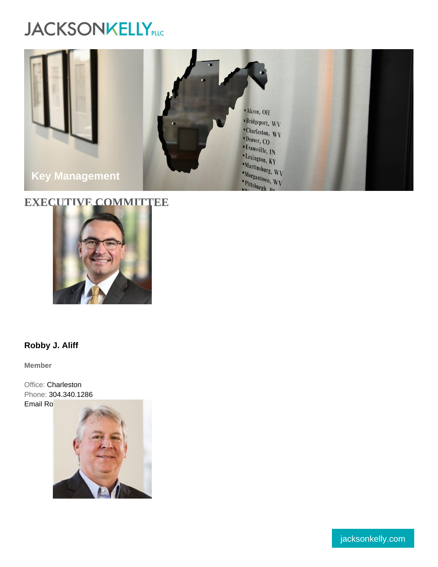# EXECUTIVE COMMITTEE

[Robby J. Aliff](https://www.jacksonkelly.com/professionals/robby-j-aliff) 

Member

Office: [Charleston](https://www.jacksonkelly.com/offices/charleston) Phone: [304.340.1286](tel:304.340.1286) [Email Robby](mailto:raliff@jacksonkelly.com)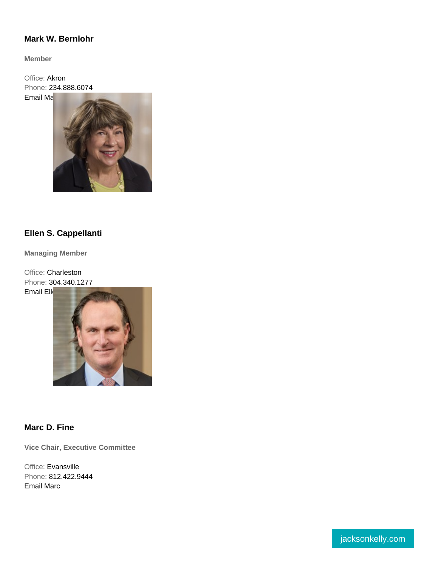#### [Mark W. Bernlohr](https://www.jacksonkelly.com/professionals/ellen-s-cappellanti)

Member

Office: [Akron](https://www.jacksonkelly.com/offices/akron) Phone: [234.888.6074](tel:234.888.6074) [Email Mark](mailto:mwbernlohr@jacksonkelly.com)

#### [Ellen S. Cappellanti](https://www.jacksonkelly.com/professionals/ellen-s-cappellanti)

Managing Member

Office: [Charleston](https://www.jacksonkelly.com/offices/charleston) Phone: [304.340.1277](tel:304.340.1277) [Email Ellen](mailto:ecappellanti@jacksonkelly.com)

[Marc D. Fine](https://www.jacksonkelly.com/professionals/marc-d-fine) 

Vice Chair, Executive Committee

Office: [Evansville](https://www.jacksonkelly.com/offices/evansville) Phone: [812.422.9444](tel:812.422.9444) [Email Marc](mailto:mdfine@jacksonkelly.com)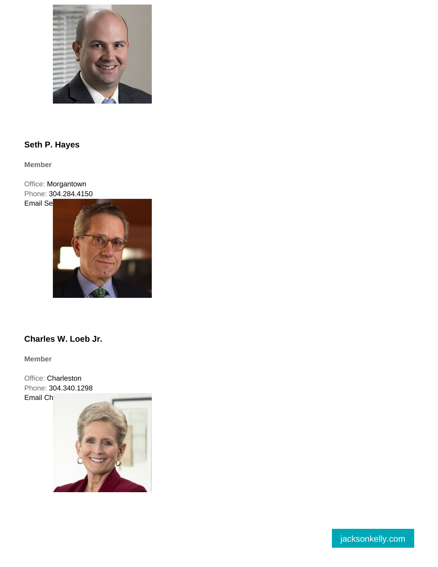# [Seth P. Hayes](https://www.jacksonkelly.com/professionals/seth-p-hayes)

Member

Office: [Morgantown](https://www.jacksonkelly.com/offices/morgantown) Phone: [304.284.4150](tel:304.284.4150) [Email Seth](mailto:shayes@jacksonkelly.com)

#### [Charles W. Loeb Jr.](https://www.jacksonkelly.com/professionals/charles-w-loeb-jr)

Member

Office: [Charleston](https://www.jacksonkelly.com/offices/charleston) Phone: [304.340.1298](tel:304.340.1298 )  [Email Charles](mailto:cloeb@jacksonkelly.com)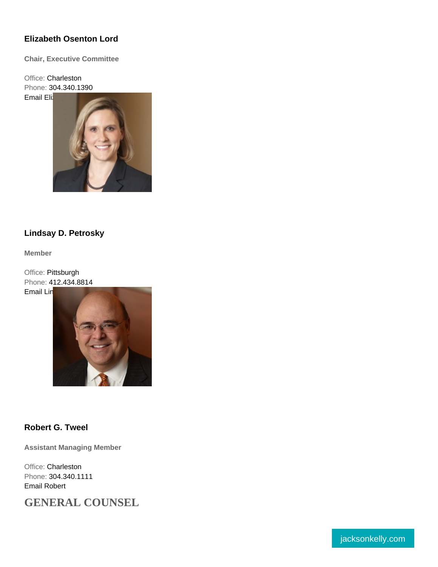#### [Elizabeth Osenton](https://www.jacksonkelly.com/professionals/lindsay-d-petrosky) [Lord](https://www.jacksonkelly.com/professionals/elizabeth-m-lord)

Chair, Executive Committee

Office: [Charleston](https://www.jacksonkelly.com/offices/charleston) Phone: [304.340.1390](tel:304.340.1390 )  [Email Elizabeth](mailto:elord@jacksonkelly.com)

#### [Lindsay D. Petrosky](https://www.jacksonkelly.com/professionals/lindsay-d-petrosky)

Member

Office: [Pittsburgh](https://www.jacksonkelly.com/offices/pittsburgh) Phone: [412.434.8814](tel:412.434.8814) [Email Lindsay](mailto:ldpetrosky@jacksonkelly.com)

[Robert G. Tweel](https://www.jacksonkelly.com/professionals/robert-g-tweel) 

Assistant Managing Member

Office: [Charleston](https://www.jacksonkelly.com/offices/charleston) Phone: [304.340.1111](tel:304.340.1111) [Email Robert](mailto:rtweel@jacksonkelly.com)

GENERAL COUNSEL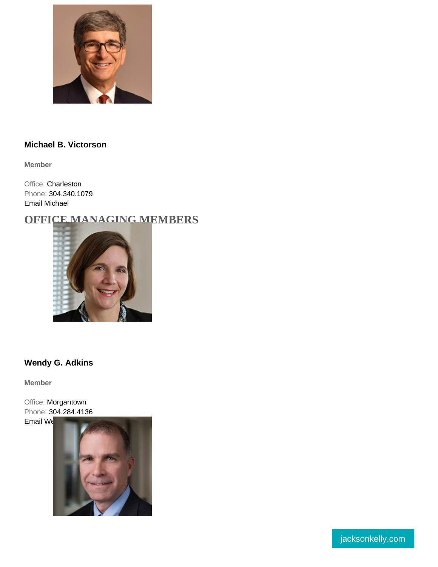#### [Michael B. Victorson](https://www.jacksonkelly.com/professionals/michael-b-victorson)

Member

Office: [Charleston](https://www.jacksonkelly.com/offices/charleston) Phone: [304.340.1079](tel:304.340.1079) [Email Michael](mailto:mvictorson@jacksonkelly.com)

OFFICE MANAGING MEMBERS

[Wendy G. Adkins](https://www.jacksonkelly.com/professionals/wendy-g-adkins) 

Member

Office: [Morgantown](https://www.jacksonkelly.com/offices/morgantown) Phone: [304.284.4136](tel:304.284.4136) [Email Wendy](mailto:wgadkins@jacksonkelly.com)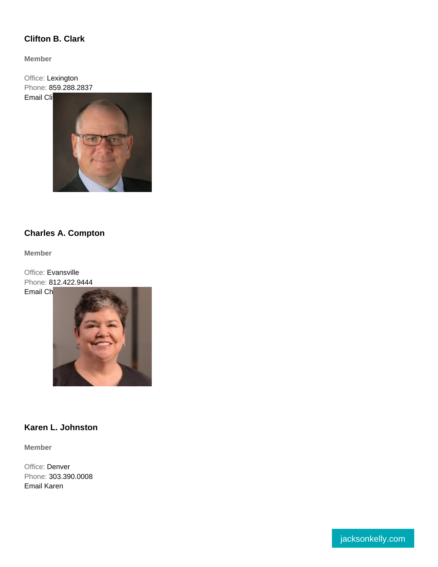#### [Clifton B. Clark](https://www.jacksonkelly.com/professionals/clifton-b-clark)

Member

Office: [Lexington](https://www.jacksonkelly.com/offices/lexington) [Phone: 859.288.2837](https://www.jacksonkelly.com/professionals/charles-a-compton) [Email Clifton](mailto:cbclark@jacksonkelly.com)

### [Charles A. Compton](https://www.jacksonkelly.com/professionals/charles-a-compton)

Member

Office: [Evansville](https://www.jacksonkelly.com/offices/evansville) Phone: [812.422.9444](tel:812.422.9444) [Email Charles](mailto:charles.compton@jacksonkelly.com)

## [Karen L. Johnston](https://www.jacksonkelly.com/professionals/karen-l-johnston)

Member

Office: [Denver](https://www.jacksonkelly.com/offices/denver) Phone: [303.390.0008](tel:303.390.0008) [Email Karen](mailto:kjohnston@jacksonkelly.com)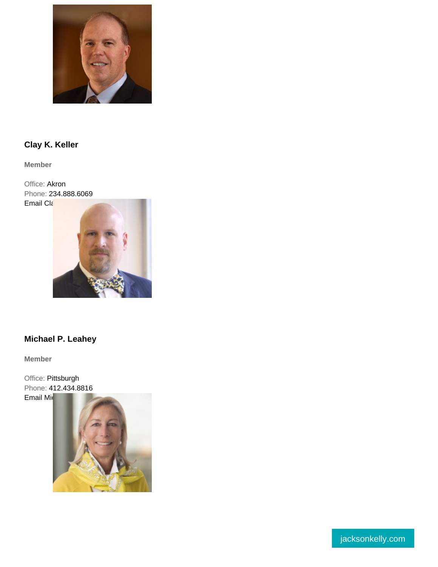### [Clay K. Keller](https://www.jacksonkelly.com/professionals/clay-k-keller)

Member

Office: [Akron](https://www.jacksonkelly.com/offices/akron) Phone: [234.888.6069](tel:234.888.6069) [Email Clay](mailto:ckkeller@jacksonkelly.com)

#### [Michael P. Leahey](https://www.jacksonkelly.com/professionals/michael-p-leahey)

Member

Office: [Pittsburgh](https://www.jacksonkelly.com/offices/pittsburgh) Phone: [412.434.8816](tel:412.434.8816 )  [Email Michael](mailto:mpleahey@jacksonkelly.com	)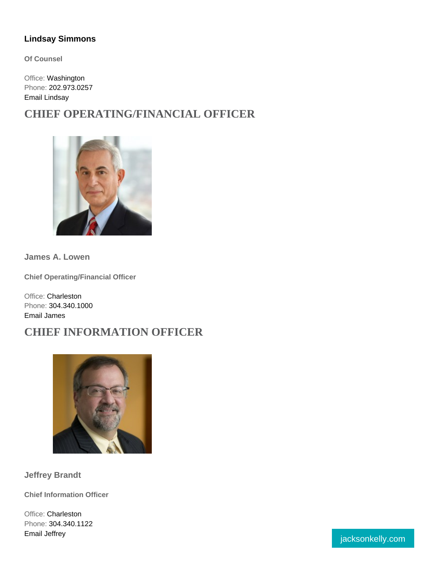#### [Lindsay Simmons](https://www.jacksonkelly.com/professionals/lindsay-simmons)

Of Counsel

Office: [Washington](https://www.jacksonkelly.com/offices/washington-dc) Phone: [202.973.0257](tel:202.973.0257) [Email Lindsay](mailto:lsimmons@jacksonkelly.com)

CHIEF OPERATING/FINANCIAL OFFICER

James A. Lowen

Chief Operating/Financial Officer

Office: [Charleston](https://www.jacksonkelly.com/offices/charleston) Phone: [304.340.1000](tel:304.340.1000) [Email James](mailto:jlowen@jacksonkelly.com)

CHIEF INFORMATION OFFICER

Jeffrey Brandt

Chief Information Officer

Office: [Charleston](https://www.jacksonkelly.com/offices/charleston) Phone: [304.340.1122](tel:304.340.1122) example of the state of the state of the state of the state of the state of the state of the state of the state of the state of the state of the state of the state of the state of the state of the state of the state of the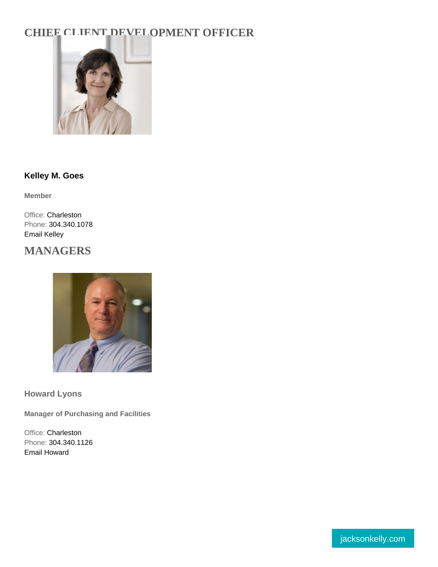# [CHIEF CLIENT](https://www.jacksonkelly.com/professionals/kelley-m-goes) DEVELOPMENT OFFICER

[Kelley M. Goes](https://www.jacksonkelly.com/professionals/kelley-m-goes) 

Member

Office: [Charleston](https://www.jacksonkelly.com/offices/charleston) Phone: [304.340.1078](tel:304.340.1078) [Email Kelley](mailto:kmgoes@jacksonkelly.com)

MANAGERS

Howard Lyons

Manager of Purchasing and Facilities

Office: [Charleston](https://www.jacksonkelly.com/offices/charleston) Phone: [304.340.1126](tel:304.340.1126) [Email Howard](mailto:hlyons@jacksonkelly.com)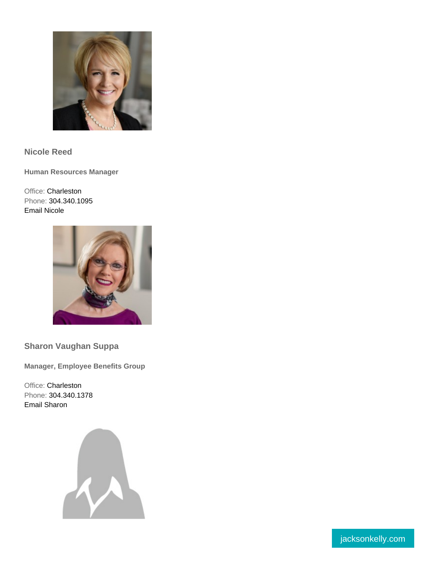Nicole Reed

Human Resources Manager

Office: [Charleston](https://www.jacksonkelly.com/offices/charleston) Phone: [304.340.1095](tel:304.340.1095) [Email Nicole](mailto:nreed@jacksonkelly.com)

Sharon Vaughan Suppa

Manager, Employee Benefits Group

Office: [Charleston](https://www.jacksonkelly.com/offices/charleston) Phone: [304.340.1378](tel:304.340.1378) [Email Sharon](mailto:ssuppa@jacksonkelly.com)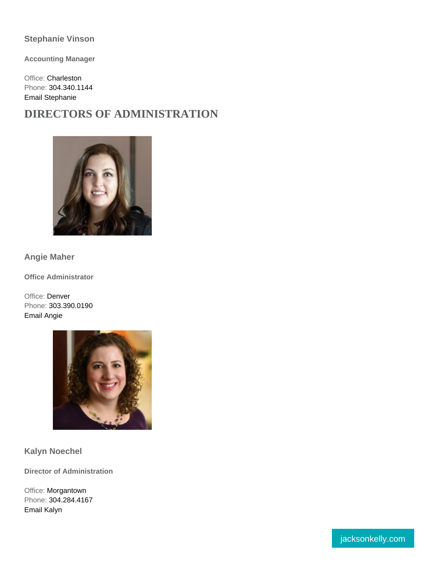#### Stephanie Vinson

Accounting Manager

Office: [Charleston](https://www.jacksonkelly.com/offices/charleston) Phone: [304.340.1144](tel:304.340.1144) [Email Stephanie](mailto:svinson@jacksonkelly.com)

DIRECTORS OF ADMINISTRATION

Angie Maher

Office Administrator

Office: [Denver](https://www.jacksonkelly.com/offices/denver) Phone: [303.390.0190](tel:303.390.0190) [Email Angie](mailto:angie.maher@jacksonkelly.com)

Kalyn Noechel

Director of Administration

Office: [Morgantown](https://www.jacksonkelly.com/offices/morgantown) Phone: [304.284.4167](tel:304.284.4167) [Email Kalyn](mailto:kalyn.noechel@jacksonkelly.com)